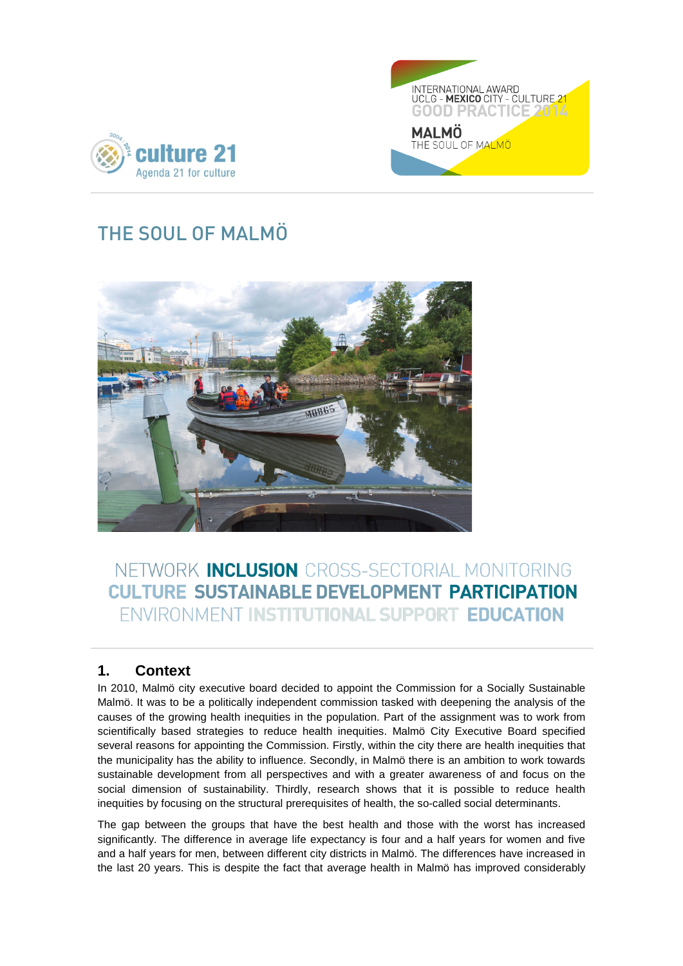



# THE SOUL OF MALMÖ



# NETWORK INCLUSION CROSS-SECTORIAL MONITORING **CULTURE SUSTAINABLE DEVELOPMENT PARTICIPATION** ENVIRONMENT INSTITUTIONAL SUPPORT EDUCATION

## **1. Context**

In 2010, Malmö city executive board decided to appoint the Commission for a Socially Sustainable Malmö. It was to be a politically independent commission tasked with deepening the analysis of the causes of the growing health inequities in the population. Part of the assignment was to work from scientifically based strategies to reduce health inequities. Malmö City Executive Board specified several reasons for appointing the Commission. Firstly, within the city there are health inequities that the municipality has the ability to influence. Secondly, in Malmö there is an ambition to work towards sustainable development from all perspectives and with a greater awareness of and focus on the social dimension of sustainability. Thirdly, research shows that it is possible to reduce health inequities by focusing on the structural prerequisites of health, the so-called social determinants.

The gap between the groups that have the best health and those with the worst has increased significantly. The difference in average life expectancy is four and a half years for women and five and a half years for men, between different city districts in Malmö. The differences have increased in the last 20 years. This is despite the fact that average health in Malmö has improved considerably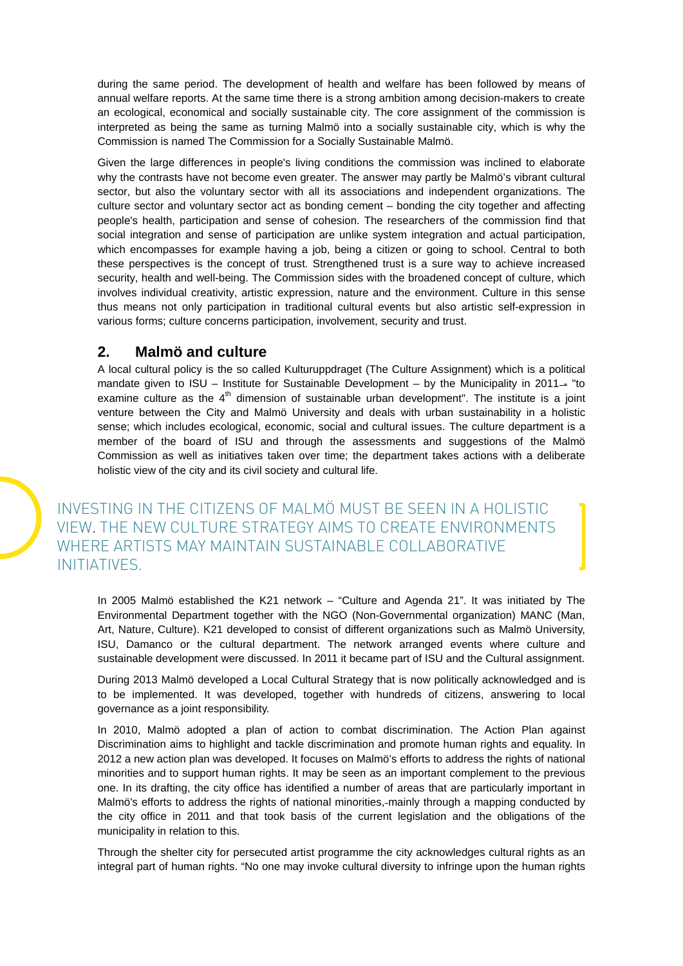during the same period. The development of health and welfare has been followed by means of annual welfare reports. At the same time there is a strong ambition among decision-makers to create an ecological, economical and socially sustainable city. The core assignment of the commission is interpreted as being the same as turning Malmö into a socially sustainable city, which is why the Commission is named The Commission for a Socially Sustainable Malmö.

Given the large differences in people's living conditions the commission was inclined to elaborate why the contrasts have not become even greater. The answer may partly be Malmö's vibrant cultural sector, but also the voluntary sector with all its associations and independent organizations. The culture sector and voluntary sector act as bonding cement – bonding the city together and affecting people's health, participation and sense of cohesion. The researchers of the commission find that social integration and sense of participation are unlike system integration and actual participation, which encompasses for example having a job, being a citizen or going to school. Central to both these perspectives is the concept of trust. Strengthened trust is a sure way to achieve increased security, health and well-being. The Commission sides with the broadened concept of culture, which involves individual creativity, artistic expression, nature and the environment. Culture in this sense thus means not only participation in traditional cultural events but also artistic self-expression in various forms; culture concerns participation, involvement, security and trust.

## **2. Malmö and culture**

A local cultural policy is the so called Kulturuppdraget (The Culture Assignment) which is a political mandate given to  $ISU$  – Institute for Sustainable Development – by the Municipality in 2011– "to examine culture as the  $4<sup>th</sup>$  dimension of sustainable urban development". The institute is a joint venture between [the City a](http://www.malmo.se/english)nd [Malmö University](http://www.mah.se/english) and deals with urban sustainability in a holistic sense; which includes ecological, economic, social and cultural issues. The culture department is a member of the board of ISU and through the assessments and suggestions of the Malmö Commission as well as initiatives taken over time; the department takes actions with a deliberate holistic view of the city and its civil society and cultural life.

INVESTING IN THE CITIZENS OF MALMÖ MUST BE SEEN IN A HOLISTIC VIEW. THE NEW CULTURE STRATEGY AIMS TO CREATE ENVIRONMENTS WHERE ARTISTS MAY MAINTAIN SUSTAINABLE COLLABORATIVE INITIATIVES.

In 2005 Malmö established the K21 network – "Culture and Agenda 21". It was initiated by The Environmental Department together with the NGO (Non-Governmental organization) MANC (Man, Art, Nature, Culture). K21 developed to consist of different organizations such as Malmö University, ISU, Damanco or the cultural department. The network arranged events where culture and sustainable development were discussed. In 2011 it became part of ISU and the Cultural assignment.

During 2013 Malmö developed a Local Cultural Strategy that is now politically acknowledged and is to be implemented. It was developed, together with hundreds of citizens, answering to local governance as a joint responsibility.

In 2010, Malmö adopted a plan of action to combat discrimination. The Action Plan against Discrimination aims to highlight and tackle discrimination and promote human rights and equality. In 2012 a new action plan was developed. It focuses on Malmö's efforts to address the rights of national minorities and to support human rights. It may be seen as an important complement to the previous one. In its drafting, the city office has identified a number of areas that are particularly important in Malmö's efforts to address the rights of national minorities, mainly through a mapping conducted by the city office in 2011 and that took basis of the current legislation and the obligations of the municipality in relation to this.

Through the shelter city for persecuted artist programme the city acknowledges cultural rights as an integral part of human rights. "No one may invoke cultural diversity to infringe upon the human rights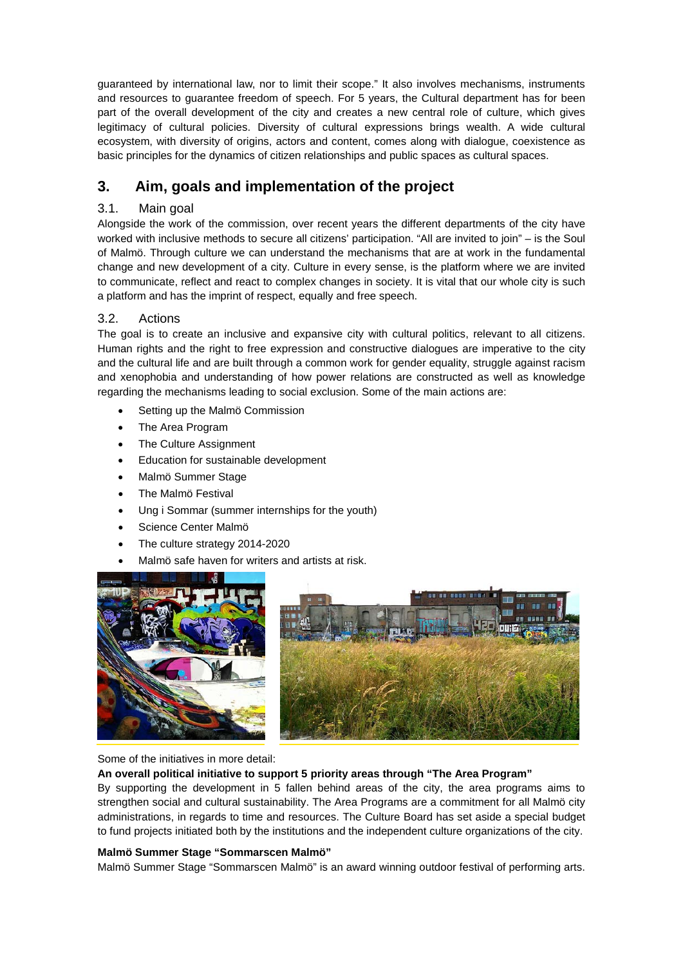guaranteed by international law, nor to limit their scope." It also involves mechanisms, instruments and resources to guarantee freedom of speech. For 5 years, the Cultural department has for been part of the overall development of the city and creates a new central role of culture, which gives legitimacy of cultural policies. Diversity of cultural expressions brings wealth. A wide cultural ecosystem, with diversity of origins, actors and content, comes along with dialogue, coexistence as basic principles for the dynamics of citizen relationships and public spaces as cultural spaces.

## **3. Aim, goals and implementation of the project**

## 3.1. Main goal

Alongside the work of the commission, over recent years the different departments of the city have worked with inclusive methods to secure all citizens' participation. "All are invited to join" – is the Soul of Malmö. Through culture we can understand the mechanisms that are at work in the fundamental change and new development of a city. Culture in every sense, is the platform where we are invited to communicate, reflect and react to complex changes in society. It is vital that our whole city is such a platform and has the imprint of respect, equally and free speech.

## 3.2. Actions

The goal is to create an inclusive and expansive city with cultural politics, relevant to all citizens. Human rights and the right to free expression and constructive dialogues are imperative to the city and the cultural life and are built through a common work for gender equality, struggle against racism and xenophobia and understanding of how power relations are constructed as well as knowledge regarding the mechanisms leading to social exclusion. Some of the main actions are:

- Setting up the Malmö Commission
- The Area Program
- The Culture Assignment
- Education for sustainable development
- Malmö Summer Stage
- The Malmö Festival
- Ung i Sommar (summer internships for the youth)
- Science Center Malmö
- The culture strategy 2014-2020
- Malmö safe haven for writers and artists at risk.



Some of the initiatives in more detail:

### **An overall political initiative to support 5 priority areas through "The Area Program"**

By supporting the development in 5 fallen behind areas of the city, the area programs aims to strengthen social and cultural sustainability. The Area Programs are a commitment for all Malmö city administrations, in regards to time and resources. The Culture Board has set aside a special budget to fund projects initiated both by the institutions and the independent culture organizations of the city.

### **Malmö Summer Stage "Sommarscen Malmö"**

Malmö Summer Stage "Sommarscen Malmö" is an award winning outdoor festival of performing arts.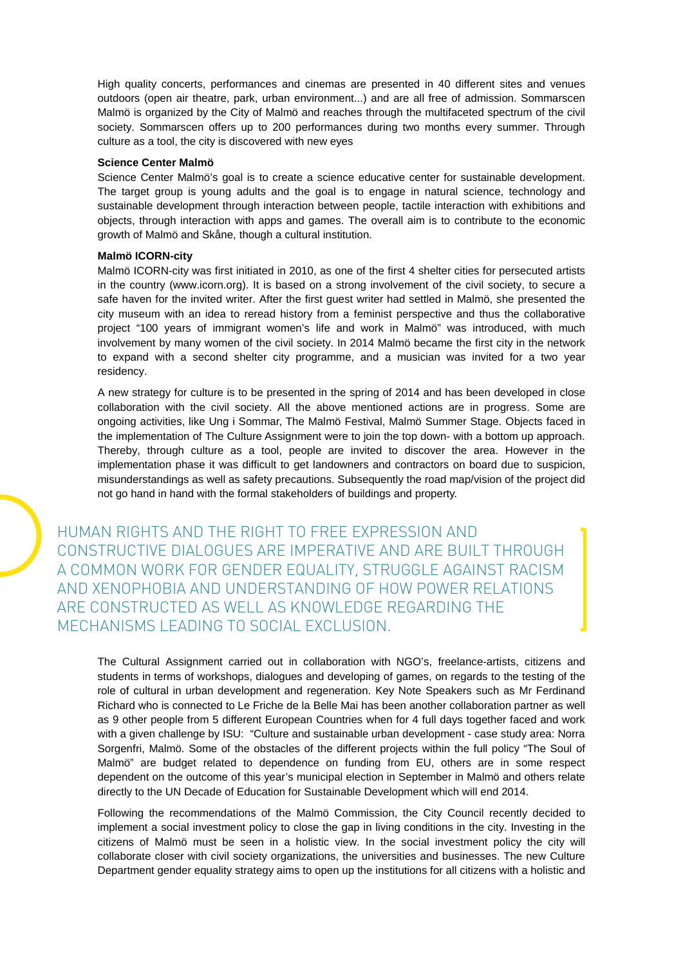High quality concerts, performances and cinemas are presented in 40 different sites and venues outdoors (open air theatre, park, urban environment...) and are all free of admission. Sommarscen Malmö is organized by the City of Malmö and reaches through the multifaceted spectrum of the civil society. Sommarscen offers up to 200 performances during two months every summer. Through culture as a tool, the city is discovered with new eyes

#### **Science Center Malmö**

Science Center Malmö's goal is to create a science educative center for sustainable development. The target group is young adults and the goal is to engage in natural science, technology and sustainable development through interaction between people, tactile interaction with exhibitions and objects, through interaction with apps and games. The overall aim is to contribute to the economic growth of Malmö and Skåne, though a cultural institution.

#### **Malmö ICORN-city**

Malmö ICORN-city was first initiated in 2010, as one of the first 4 shelter cities for persecuted artists in the country (www.icorn.org). It is based on a strong involvement of the civil society, to secure a safe haven for the invited writer. After the first guest writer had settled in Malmö, she presented the city museum with an idea to reread history from a feminist perspective and thus the collaborative project "100 years of immigrant women's life and work in Malmö" was introduced, with much involvement by many women of the civil society. In 2014 Malmö became the first city in the network to expand with a second shelter city programme, and a musician was invited for a two year residency.

A new strategy for culture is to be presented in the spring of 2014 and has been developed in close collaboration with the civil society. All the above mentioned actions are in progress. Some are ongoing activities, like Ung i Sommar, The Malmö Festival, Malmö Summer Stage. Objects faced in the implementation of The Culture Assignment were to join the top down- with a bottom up approach. Thereby, through culture as a tool, people are invited to discover the area. However in the implementation phase it was difficult to get landowners and contractors on board due to suspicion, misunderstandings as well as safety precautions. Subsequently the road map/vision of the project did not go hand in hand with the formal stakeholders of buildings and property.

HUMAN RIGHTS AND THE RIGHT TO FREE EXPRESSION AND CONSTRUCTIVE DIALOGUES ARE IMPERATIVE AND ARE BUILT THROUGH A COMMON WORK FOR GENDER EQUALITY, STRUGGLE AGAINST RACISM AND XENOPHOBIA AND UNDERSTANDING OF HOW POWER RELATIONS ARE CONSTRUCTED AS WELL AS KNOWLEDGE REGARDING THE MECHANISMS LEADING TO SOCIAL EXCLUSION.

The Cultural Assignment carried out in collaboration with NGO's, freelance-artists, citizens and students in terms of workshops, dialogues and developing of games, on regards to the testing of the role of cultural in urban development and regeneration. Key Note Speakers such as Mr Ferdinand Richard who is connected to Le Friche de la Belle Mai has been another collaboration partner as well as 9 other people from 5 different European Countries when for 4 full days together faced and work with a given challenge by ISU: "Culture and sustainable urban development - case study area: Norra Sorgenfri, Malmö. Some of the obstacles of the different projects within the full policy "The Soul of Malmö" are budget related to dependence on funding from EU, others are in some respect dependent on the outcome of this year's municipal election in September in Malmö and others relate directly to the UN Decade of Education for Sustainable Development which will end 2014.

Following the recommendations of the Malmö Commission, the City Council recently decided to implement a social investment policy to close the gap in living conditions in the city. Investing in the citizens of Malmö must be seen in a holistic view. In the social investment policy the city will collaborate closer with civil society organizations, the universities and businesses. The new Culture Department gender equality strategy aims to open up the institutions for all citizens with a holistic and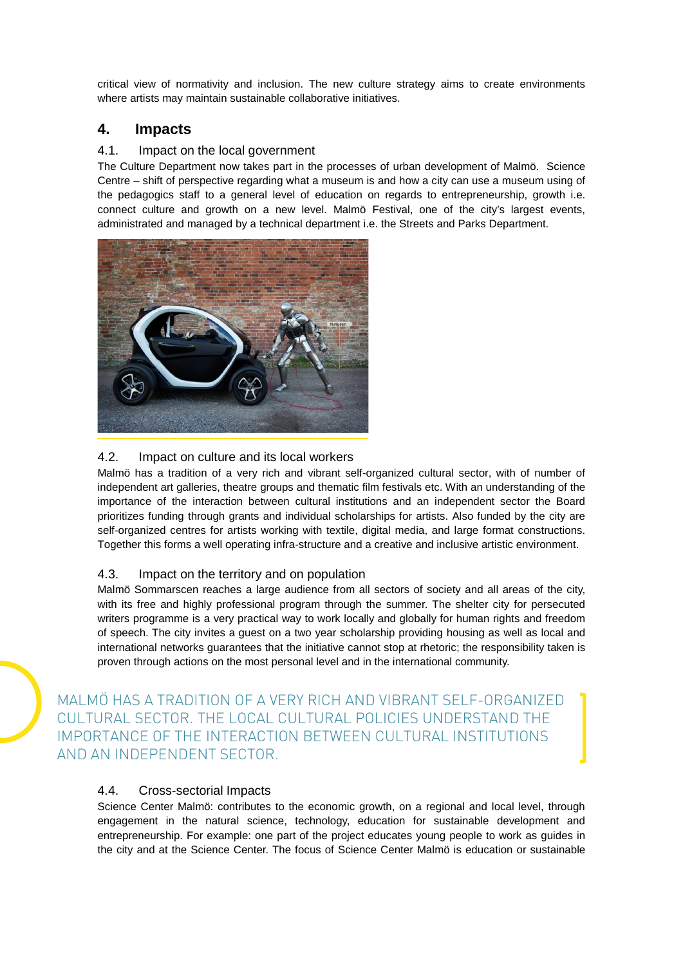critical view of normativity and inclusion. The new culture strategy aims to create environments where artists may maintain sustainable collaborative initiatives.

## **4. Impacts**

### 4.1. Impact on the local government

The Culture Department now takes part in the processes of urban development of Malmö. Science Centre – shift of perspective regarding what a museum is and how a city can use a museum using of the pedagogics staff to a general level of education on regards to entrepreneurship, growth i.e. connect culture and growth on a new level. Malmö Festival, one of the city's largest events, administrated and managed by a technical department i.e. the Streets and Parks Department.



## 4.2. Impact on culture and its local workers

Malmö has a tradition of a very rich and vibrant self-organized cultural sector, with of number of independent art galleries, theatre groups and thematic film festivals etc. With an understanding of the importance of the interaction between cultural institutions and an independent sector the Board prioritizes funding through grants and individual scholarships for artists. Also funded by the city are self-organized centres for artists working with textile, digital media, and large format constructions. Together this forms a well operating infra-structure and a creative and inclusive artistic environment.

### 4.3. Impact on the territory and on population

Malmö Sommarscen reaches a large audience from all sectors of society and all areas of the city, with its free and highly professional program through the summer. The shelter city for persecuted writers programme is a very practical way to work locally and globally for human rights and freedom of speech. The city invites a guest on a two year scholarship providing housing as well as local and international networks guarantees that the initiative cannot stop at rhetoric; the responsibility taken is proven through actions on the most personal level and in the international community.

MALMÖ HAS A TRADITION OF A VERY RICH AND VIBRANT SELF-ORGANIZED CULTURAL SECTOR. THE LOCAL CULTURAL POLICIES UNDERSTAND THE IMPORTANCE OF THE INTERACTION BETWEEN CULTURAL INSTITUTIONS AND AN INDEPENDENT SECTOR.

## 4.4. Cross-sectorial Impacts

Science Center Malmö: contributes to the economic growth, on a regional and local level, through engagement in the natural science, technology, education for sustainable development and entrepreneurship. For example: one part of the project educates young people to work as guides in the city and at the Science Center. The focus of Science Center Malmö is education or sustainable